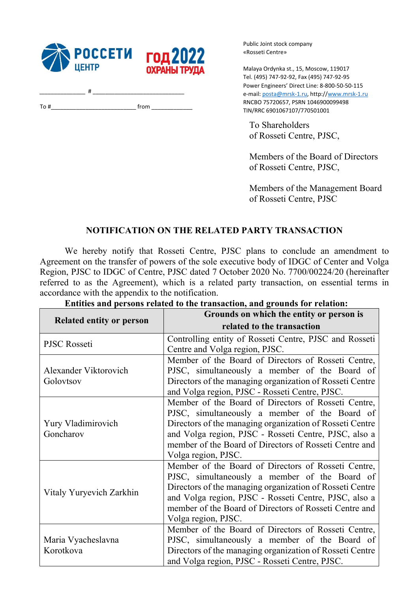

\_\_\_\_\_\_\_\_\_\_\_\_\_\_\_\_ # \_\_\_\_\_\_\_\_\_\_\_\_\_\_\_\_\_\_\_\_\_\_\_\_\_\_\_\_\_ To  $\#$  from  $\Box$  Public Joint stock company «Rosseti Centre»

Malaya Ordynka st., 15, Moscow, 119017 Tel. (495) 747-92-92, Fax (495) 747-92-95 Power Engineers' Direct Line: 8-800-50-50-115 e-mail: posta@mrsk-1.ru, http://www.mrsk-1.ru RNCBO 75720657, PSRN 1046900099498 TIN/RRC 6901067107/770501001

To Shareholders of Rosseti Centre, PJSC,

Members of the Board of Directors of Rosseti Centre, PJSC,

Members of the Management Board of Rosseti Centre, PJSC

# NOTIFICATION ON THE RELATED PARTY TRANSACTION

We hereby notify that Rosseti Centre, PJSC plans to conclude an amendment to Agreement on the transfer of powers of the sole executive body of IDGC of Center and Volga Region, PJSC to IDGC of Centre, PJSC dated 7 October 2020 No. 7700/00224/20 (hereinafter referred to as the Agreement), which is a related party transaction, on essential terms in accordance with the appendix to the notification.

| <b>Related entity or person</b>    | Grounds on which the entity or person is                 |
|------------------------------------|----------------------------------------------------------|
|                                    | related to the transaction                               |
| PJSC Rosseti                       | Controlling entity of Rosseti Centre, PJSC and Rosseti   |
|                                    | Centre and Volga region, PJSC.                           |
| Alexander Viktorovich<br>Golovtsov | Member of the Board of Directors of Rosseti Centre,      |
|                                    | PJSC, simultaneously a member of the Board of            |
|                                    | Directors of the managing organization of Rosseti Centre |
|                                    | and Volga region, PJSC - Rosseti Centre, PJSC.           |
| Yury Vladimirovich<br>Goncharov    | Member of the Board of Directors of Rosseti Centre,      |
|                                    | PJSC, simultaneously a member of the Board of            |
|                                    | Directors of the managing organization of Rosseti Centre |
|                                    | and Volga region, PJSC - Rosseti Centre, PJSC, also a    |
|                                    | member of the Board of Directors of Rosseti Centre and   |
|                                    | Volga region, PJSC.                                      |
| Vitaly Yuryevich Zarkhin           | Member of the Board of Directors of Rosseti Centre,      |
|                                    | PJSC, simultaneously a member of the Board of            |
|                                    | Directors of the managing organization of Rosseti Centre |
|                                    | and Volga region, PJSC - Rosseti Centre, PJSC, also a    |
|                                    | member of the Board of Directors of Rosseti Centre and   |
|                                    | Volga region, PJSC.                                      |
|                                    | Member of the Board of Directors of Rosseti Centre,      |
| Maria Vyacheslavna                 | PJSC, simultaneously a member of the Board of            |
| Korotkova                          | Directors of the managing organization of Rosseti Centre |
|                                    | and Volga region, PJSC - Rosseti Centre, PJSC.           |

## Entities and persons related to the transaction, and grounds for relation: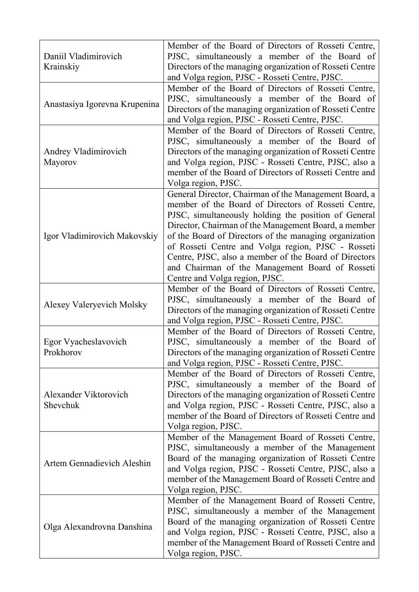| Daniil Vladimirovich<br>Krainskiy | Member of the Board of Directors of Rosseti Centre,<br>PJSC, simultaneously a member of the Board of<br>Directors of the managing organization of Rosseti Centre<br>and Volga region, PJSC - Rosseti Centre, PJSC.                                                                                                                                                                                                                                                                         |
|-----------------------------------|--------------------------------------------------------------------------------------------------------------------------------------------------------------------------------------------------------------------------------------------------------------------------------------------------------------------------------------------------------------------------------------------------------------------------------------------------------------------------------------------|
| Anastasiya Igorevna Krupenina     | Member of the Board of Directors of Rosseti Centre,<br>PJSC, simultaneously a member of the Board of<br>Directors of the managing organization of Rosseti Centre<br>and Volga region, PJSC - Rosseti Centre, PJSC.                                                                                                                                                                                                                                                                         |
| Andrey Vladimirovich<br>Mayorov   | Member of the Board of Directors of Rosseti Centre,<br>PJSC, simultaneously a member of the Board of<br>Directors of the managing organization of Rosseti Centre<br>and Volga region, PJSC - Rosseti Centre, PJSC, also a<br>member of the Board of Directors of Rosseti Centre and<br>Volga region, PJSC.                                                                                                                                                                                 |
| Igor Vladimirovich Makovskiy      | General Director, Chairman of the Management Board, a<br>member of the Board of Directors of Rosseti Centre,<br>PJSC, simultaneously holding the position of General<br>Director, Chairman of the Management Board, a member<br>of the Board of Directors of the managing organization<br>of Rosseti Centre and Volga region, PJSC - Rosseti<br>Centre, PJSC, also a member of the Board of Directors<br>and Chairman of the Management Board of Rosseti<br>Centre and Volga region, PJSC. |
| Alexey Valeryevich Molsky         | Member of the Board of Directors of Rosseti Centre,<br>PJSC, simultaneously a member of the Board of<br>Directors of the managing organization of Rosseti Centre<br>and Volga region, PJSC - Rosseti Centre, PJSC.                                                                                                                                                                                                                                                                         |
| Egor Vyacheslavovich<br>Prokhorov | Member of the Board of Directors of Rosseti Centre,<br>PJSC, simultaneously a member of the Board of<br>Directors of the managing organization of Rosseti Centre<br>and Volga region, PJSC - Rosseti Centre, PJSC.                                                                                                                                                                                                                                                                         |
| Alexander Viktorovich<br>Shevchuk | Member of the Board of Directors of Rosseti Centre,<br>PJSC, simultaneously a member of the Board of<br>Directors of the managing organization of Rosseti Centre<br>and Volga region, PJSC - Rosseti Centre, PJSC, also a<br>member of the Board of Directors of Rosseti Centre and<br>Volga region, PJSC.                                                                                                                                                                                 |
| Artem Gennadievich Aleshin        | Member of the Management Board of Rosseti Centre,<br>PJSC, simultaneously a member of the Management<br>Board of the managing organization of Rosseti Centre<br>and Volga region, PJSC - Rosseti Centre, PJSC, also a<br>member of the Management Board of Rosseti Centre and<br>Volga region, PJSC.                                                                                                                                                                                       |
| Olga Alexandrovna Danshina        | Member of the Management Board of Rosseti Centre,<br>PJSC, simultaneously a member of the Management<br>Board of the managing organization of Rosseti Centre<br>and Volga region, PJSC - Rosseti Centre, PJSC, also a<br>member of the Management Board of Rosseti Centre and<br>Volga region, PJSC.                                                                                                                                                                                       |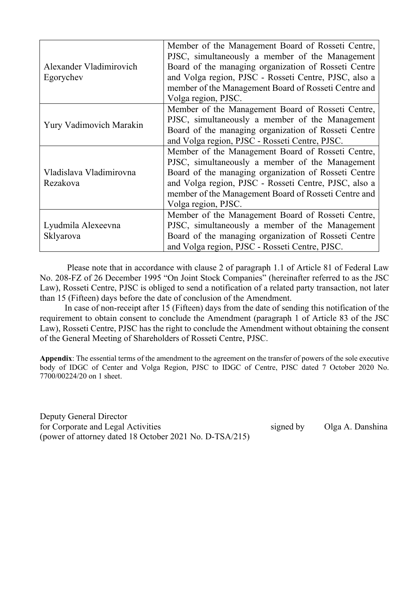| Alexander Vladimirovich<br>Egorychev | Member of the Management Board of Rosseti Centre,<br>PJSC, simultaneously a member of the Management<br>Board of the managing organization of Rosseti Centre<br>and Volga region, PJSC - Rosseti Centre, PJSC, also a<br>member of the Management Board of Rosseti Centre and<br>Volga region, PJSC. |
|--------------------------------------|------------------------------------------------------------------------------------------------------------------------------------------------------------------------------------------------------------------------------------------------------------------------------------------------------|
| <b>Yury Vadimovich Marakin</b>       | Member of the Management Board of Rosseti Centre,<br>PJSC, simultaneously a member of the Management<br>Board of the managing organization of Rosseti Centre<br>and Volga region, PJSC - Rosseti Centre, PJSC.                                                                                       |
| Vladislava Vladimirovna<br>Rezakova  | Member of the Management Board of Rosseti Centre,<br>PJSC, simultaneously a member of the Management<br>Board of the managing organization of Rosseti Centre<br>and Volga region, PJSC - Rosseti Centre, PJSC, also a<br>member of the Management Board of Rosseti Centre and<br>Volga region, PJSC. |
| Lyudmila Alexeevna<br>Sklyarova      | Member of the Management Board of Rosseti Centre,<br>PJSC, simultaneously a member of the Management<br>Board of the managing organization of Rosseti Centre<br>and Volga region, PJSC - Rosseti Centre, PJSC.                                                                                       |

Please note that in accordance with clause 2 of paragraph 1.1 of Article 81 of Federal Law No. 208-FZ of 26 December 1995 "On Joint Stock Companies" (hereinafter referred to as the JSC Law), Rosseti Centre, PJSC is obliged to send a notification of a related party transaction, not later than 15 (Fifteen) days before the date of conclusion of the Amendment.

In case of non-receipt after 15 (Fifteen) days from the date of sending this notification of the requirement to obtain consent to conclude the Amendment (paragraph 1 of Article 83 of the JSC Law), Rosseti Centre, PJSC has the right to conclude the Amendment without obtaining the consent of the General Meeting of Shareholders of Rosseti Centre, PJSC.

Appendix: The essential terms of the amendment to the agreement on the transfer of powers of the sole executive body of IDGC of Center and Volga Region, PJSC to IDGC of Centre, PJSC dated 7 October 2020 No. 7700/00224/20 on 1 sheet.

Deputy General Director for Corporate and Legal Activities signed by Olga A. Danshina (power of attorney dated 18 October 2021 No. D-TSA/215)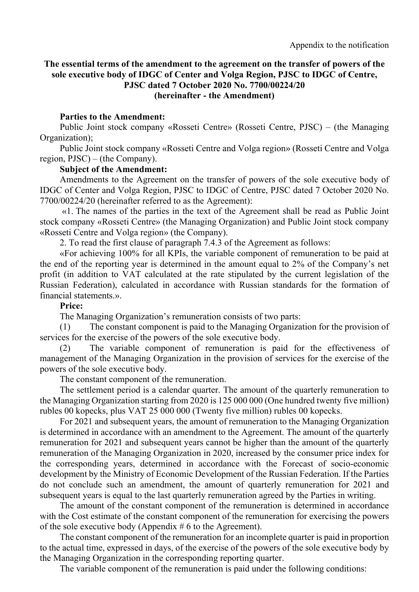## The essential terms of the amendment to the agreement on the transfer of powers of the sole executive body of IDGC of Center and Volga Region, PJSC to IDGC of Centre, PJSC dated 7 October 2020 No. 7700/00224/20 (hereinafter - the Amendment)

#### Parties to the Amendment:

Public Joint stock company «Rosseti Centre» (Rosseti Centre, PJSC) – (the Managing Organization);

Public Joint stock company «Rosseti Centre and Volga region» (Rosseti Centre and Volga region, PJSC) – (the Company).

## Subject of the Amendment:

Amendments to the Agreement on the transfer of powers of the sole executive body of IDGC of Center and Volga Region, PJSC to IDGC of Centre, PJSC dated 7 October 2020 No. 7700/00224/20 (hereinafter referred to as the Agreement):

«1. The names of the parties in the text of the Agreement shall be read as Public Joint stock company «Rosseti Centre» (the Managing Organization) and Public Joint stock company «Rosseti Centre and Volga region» (the Company).

2. To read the first clause of paragraph 7.4.3 of the Agreement as follows:

«For achieving 100% for all KPIs, the variable component of remuneration to be paid at the end of the reporting year is determined in the amount equal to 2% of the Company's net profit (in addition to VAT calculated at the rate stipulated by the current legislation of the Russian Federation), calculated in accordance with Russian standards for the formation of financial statements.».

## Price:

The Managing Organization's remuneration consists of two parts:

(1) The constant component is paid to the Managing Organization for the provision of services for the exercise of the powers of the sole executive body.

(2) The variable component of remuneration is paid for the effectiveness of management of the Managing Organization in the provision of services for the exercise of the powers of the sole executive body.

The constant component of the remuneration.

The settlement period is a calendar quarter. The amount of the quarterly remuneration to the Managing Organization starting from 2020 is 125 000 000 (One hundred twenty five million) rubles 00 kopecks, plus VAT 25 000 000 (Twenty five million) rubles 00 kopecks.

For 2021 and subsequent years, the amount of remuneration to the Managing Organization is determined in accordance with an amendment to the Agreement. The amount of the quarterly remuneration for 2021 and subsequent years cannot be higher than the amount of the quarterly remuneration of the Managing Organization in 2020, increased by the consumer price index for the corresponding years, determined in accordance with the Forecast of socio-economic development by the Ministry of Economic Development of the Russian Federation. If the Parties do not conclude such an amendment, the amount of quarterly remuneration for 2021 and subsequent years is equal to the last quarterly remuneration agreed by the Parties in writing.

The amount of the constant component of the remuneration is determined in accordance with the Cost estimate of the constant component of the remuneration for exercising the powers of the sole executive body (Appendix # 6 to the Agreement).

The constant component of the remuneration for an incomplete quarter is paid in proportion to the actual time, expressed in days, of the exercise of the powers of the sole executive body by the Managing Organization in the corresponding reporting quarter.

The variable component of the remuneration is paid under the following conditions: